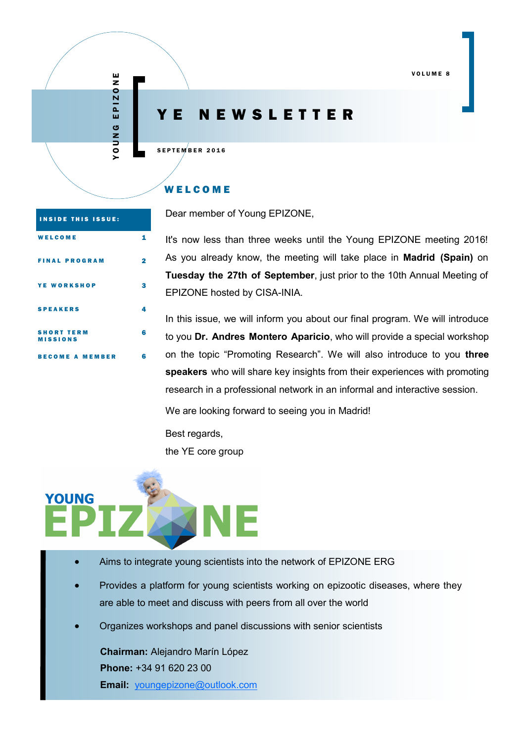# Y E N E W S L E T T E R

SEPTEMBER 2016

# W E L C O M E

Dear member of Young EPIZONE,

| <b>COME</b>       | 1              | It's now less than three weeks until the Young EPIZONE meeting 2016!         |
|-------------------|----------------|------------------------------------------------------------------------------|
| <b>AL PROGRAM</b> | $\overline{2}$ | As you already know, the meeting will take place in <b>Madrid (Spain)</b> on |
|                   |                | Tuesday the 27th of September, just prior to the 10th Annual Meeting of      |
| <b>NORKSHOP</b>   | з              | EPIZONE hosted by CISA-INIA.                                                 |
| <b>AKERS</b>      | 4              |                                                                              |
|                   |                | In this issue, we will inform you about our final program. We will introduce |

bout our final program. We will introduce to you **Dr. Andres Montero Aparicio**, who will provide a special workshop on the topic "Promoting Research". We will also introduce to you **three speakers** who will share key insights from their experiences with promoting research in a professional network in an informal and interactive session.

We are looking forward to seeing you in Madrid!

Best regards, the YE core group



- Aims to integrate young scientists into the network of EPIZONE ERG
- Provides a platform for young scientists working on epizootic diseases, where they are able to meet and discuss with peers from all over the world
- Organizes workshops and panel discussions with senior scientists

**Chairman:** Alejandro Marín López **Phone:** +34 91 620 23 00 **Email:** [youngepizone@outlook.com](mailto:youngepizone@outlook.com)

| <b>INSIDE THIS ISSUE:</b>            |   |
|--------------------------------------|---|
| WELCOME                              |   |
| <b>FINAL PROGRAM</b>                 |   |
| <b>YE WORKSHOP</b>                   | Я |
| <b>SPEAKERS</b>                      |   |
| <b>SHORT TERM</b><br><b>MISSIONS</b> | R |
| BECOME A MEMBER                      | 6 |

Y O U N G E P I Z O N E

YOUNG EPIZONE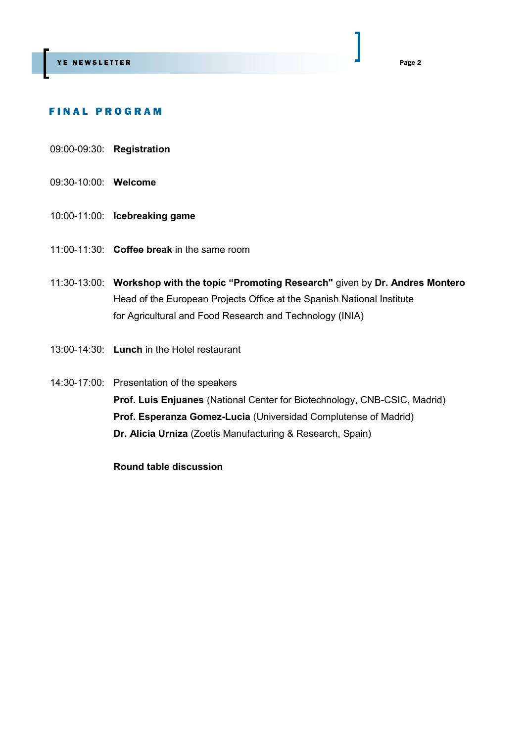# F I N A L P R O G R A M

- 09:00-09:30: **Registration**
- 09:30-10:00: **Welcome**
- 10:00-11:00: **Icebreaking game**
- 11:00-11:30: **Coffee break** in the same room
- 11:30-13:00: **Workshop with the topic "Promoting Research"** given by **Dr. Andres Montero** Head of the European Projects Office at the Spanish National Institute for Agricultural and Food Research and Technology (INIA)
- 13:00-14:30: **Lunch** in the Hotel restaurant
- 14:30-17:00: Presentation of the speakers **Prof. Luis Enjuanes** (National Center for Biotechnology, CNB-CSIC, Madrid) **Prof. Esperanza Gomez-Lucia** (Universidad Complutense of Madrid) **Dr. Alicia Urniza** (Zoetis Manufacturing & Research, Spain)

**Round table discussion**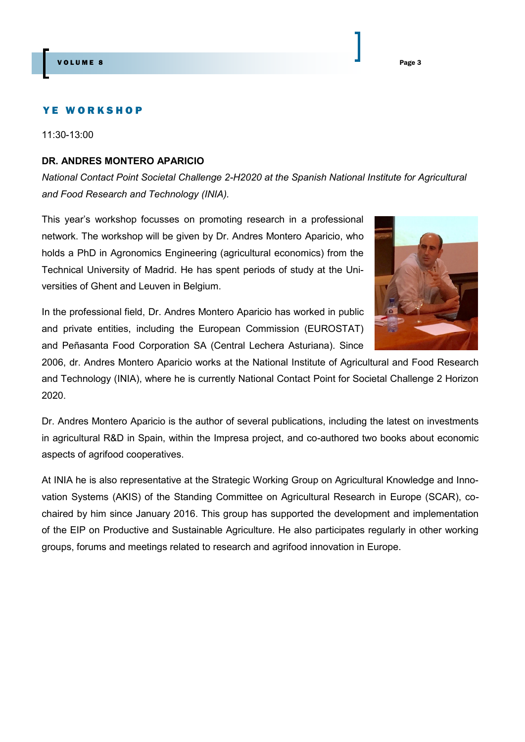#### YE WORKSHOP

11:30-13:00

# **DR. ANDRES MONTERO APARICIO**

*National Contact Point Societal Challenge 2-H2020 at the Spanish National Institute for Agricultural and Food Research and Technology (INIA).*

This year's workshop focusses on promoting research in a professional network. The workshop will be given by Dr. Andres Montero Aparicio, who holds a PhD in Agronomics Engineering (agricultural economics) from the Technical University of Madrid. He has spent periods of study at the Universities of Ghent and Leuven in Belgium.



In the professional field, Dr. Andres Montero Aparicio has worked in public and private entities, including the European Commission (EUROSTAT) and Peñasanta Food Corporation SA (Central Lechera Asturiana). Since

2006, dr. Andres Montero Aparicio works at the National Institute of Agricultural and Food Research and Technology (INIA), where he is currently National Contact Point for Societal Challenge 2 Horizon 2020.

Dr. Andres Montero Aparicio is the author of several publications, including the latest on investments in agricultural R&D in Spain, within the Impresa project, and co-authored two books about economic aspects of agrifood cooperatives.

At INIA he is also representative at the Strategic Working Group on Agricultural Knowledge and Innovation Systems (AKIS) of the Standing Committee on Agricultural Research in Europe (SCAR), cochaired by him since January 2016. This group has supported the development and implementation of the EIP on Productive and Sustainable Agriculture. He also participates regularly in other working groups, forums and meetings related to research and agrifood innovation in Europe.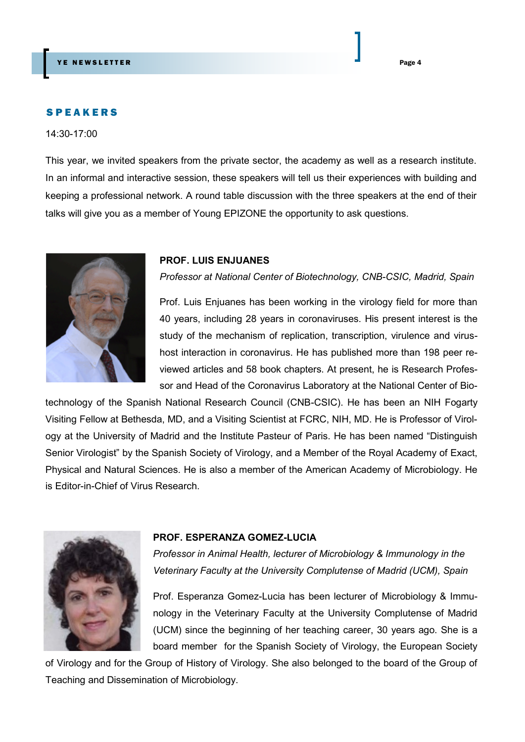# **SPEAKERS**

14:30-17:00

This year, we invited speakers from the private sector, the academy as well as a research institute. In an informal and interactive session, these speakers will tell us their experiences with building and keeping a professional network. A round table discussion with the three speakers at the end of their talks will give you as a member of Young EPIZONE the opportunity to ask questions.



#### **PROF. LUIS ENJUANES**

*Professor at National Center of Biotechnology, CNB-CSIC, Madrid, Spain*

Prof. Luis Enjuanes has been working in the virology field for more than 40 years, including 28 years in coronaviruses. His present interest is the study of the mechanism of replication, transcription, virulence and virushost interaction in coronavirus. He has published more than 198 peer reviewed articles and 58 book chapters. At present, he is Research Professor and Head of the Coronavirus Laboratory at the National Center of Bio-

technology of the Spanish National Research Council (CNB-CSIC). He has been an NIH Fogarty Visiting Fellow at Bethesda, MD, and a Visiting Scientist at FCRC, NIH, MD. He is Professor of Virology at the University of Madrid and the Institute Pasteur of Paris. He has been named "Distinguish Senior Virologist" by the Spanish Society of Virology, and a Member of the Royal Academy of Exact, Physical and Natural Sciences. He is also a member of the American Academy of Microbiology. He is Editor-in-Chief of Virus Research.



#### **PROF. ESPERANZA GOMEZ-LUCIA**

*Professor in Animal Health, lecturer of Microbiology & Immunology in the Veterinary Faculty at the University Complutense of Madrid (UCM), Spain*

Prof. Esperanza Gomez-Lucia has been lecturer of Microbiology & Immunology in the Veterinary Faculty at the University Complutense of Madrid (UCM) since the beginning of her teaching career, 30 years ago. She is a board member for the Spanish Society of Virology, the European Society

of Virology and for the Group of History of Virology. She also belonged to the board of the Group of Teaching and Dissemination of Microbiology.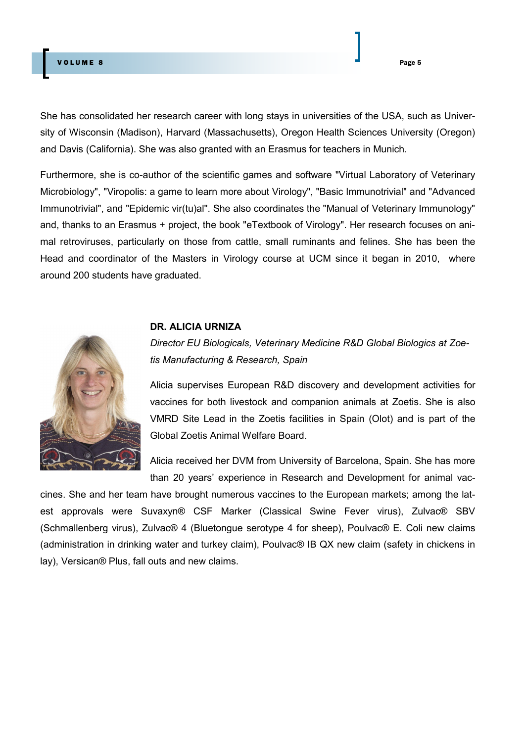# V OLUME 8 Page 5

She has consolidated her research career with long stays in universities of the USA, such as University of Wisconsin (Madison), Harvard (Massachusetts), Oregon Health Sciences University (Oregon) and Davis (California). She was also granted with an Erasmus for teachers in Munich.

Furthermore, she is co-author of the scientific games and software "Virtual Laboratory of Veterinary Microbiology", "Viropolis: a game to learn more about Virology", "Basic Immunotrivial" and "Advanced Immunotrivial", and "Epidemic vir(tu)al". She also coordinates the "Manual of Veterinary Immunology" and, thanks to an Erasmus + project, the book "eTextbook of Virology". Her research focuses on animal retroviruses, particularly on those from cattle, small ruminants and felines. She has been the Head and coordinator of the Masters in Virology course at UCM since it began in 2010, where around 200 students have graduated.

# **DR. ALICIA URNIZA**



*Director EU Biologicals, Veterinary Medicine R&D Global Biologics at Zoetis Manufacturing & Research, Spain*

Alicia supervises European R&D discovery and development activities for vaccines for both livestock and companion animals at Zoetis. She is also VMRD Site Lead in the Zoetis facilities in Spain (Olot) and is part of the Global Zoetis Animal Welfare Board.

Alicia received her DVM from University of Barcelona, Spain. She has more than 20 years' experience in Research and Development for animal vac-

cines. She and her team have brought numerous vaccines to the European markets; among the latest approvals were Suvaxyn® CSF Marker (Classical Swine Fever virus), Zulvac® SBV (Schmallenberg virus), Zulvac® 4 (Bluetongue serotype 4 for sheep), Poulvac® E. Coli new claims (administration in drinking water and turkey claim), Poulvac® IB QX new claim (safety in chickens in lay), Versican® Plus, fall outs and new claims.